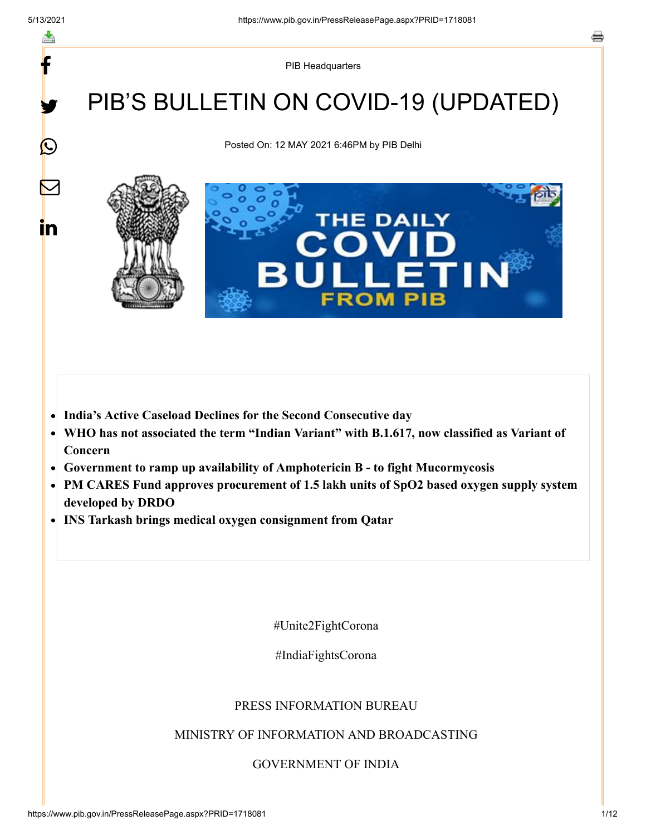y.

 $\mathbf{\Omega}$ 

 $\bm{\nabla}$ 

<u>in</u>

PIB Headquarters

# PIB'S BULLETIN ON COVID-19 (UPDATED)

Posted On: 12 MAY 2021 6:46PM by PIB Delhi



- **India's Active Caseload Declines for the Second Consecutive day**  $\bullet$
- **WHO has not associated the term "Indian Variant" with B.1.617, now classified as Variant of**  $\bullet$ **Concern**
- **Government to ramp up availability of Amphotericin B to fight Mucormycosis**
- $\bullet$ **PM CARES Fund approves procurement of 1.5 lakh units of SpO2 based oxygen supply system developed by DRDO**
- **INS Tarkash brings medical oxygen consignment from Qatar**

#Unite2FightCorona

#IndiaFightsCorona

#### PRESS INFORMATION BUREAU

#### MINISTRY OF INFORMATION AND BROADCASTING

GOVERNMENT OF INDIA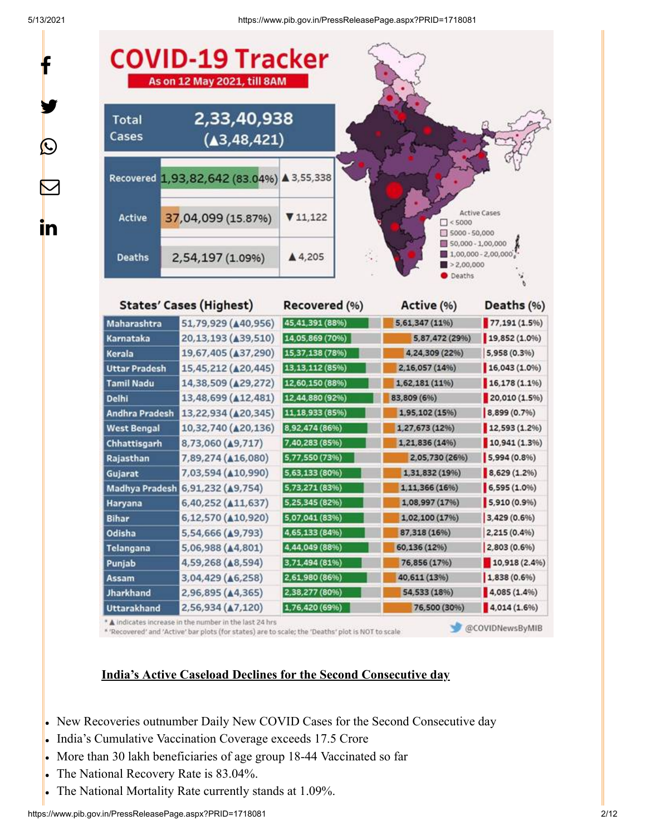y.

 $\bf \Omega$ 

 $\bm{\nabla}$ 

<u>in</u>

5/13/2021 https://www.pib.gov.in/PressReleasePage.aspx?PRID=1718081



\* 'Recovered' and 'Active' bar plots (for states) are to scale; the 'Deaths' plot is NOT to scale

@COVIDNewsByMIB

#### **India's Active Caseload Declines for the Second Consecutive day**

- New Recoveries outnumber Daily New COVID Cases for the Second Consecutive day
- India's Cumulative Vaccination Coverage exceeds 17.5 Crore
- More than 30 lakh beneficiaries of age group 18-44 Vaccinated so far
- The National Recovery Rate is 83.04%. l.
- The National Mortality Rate currently stands at 1.09%.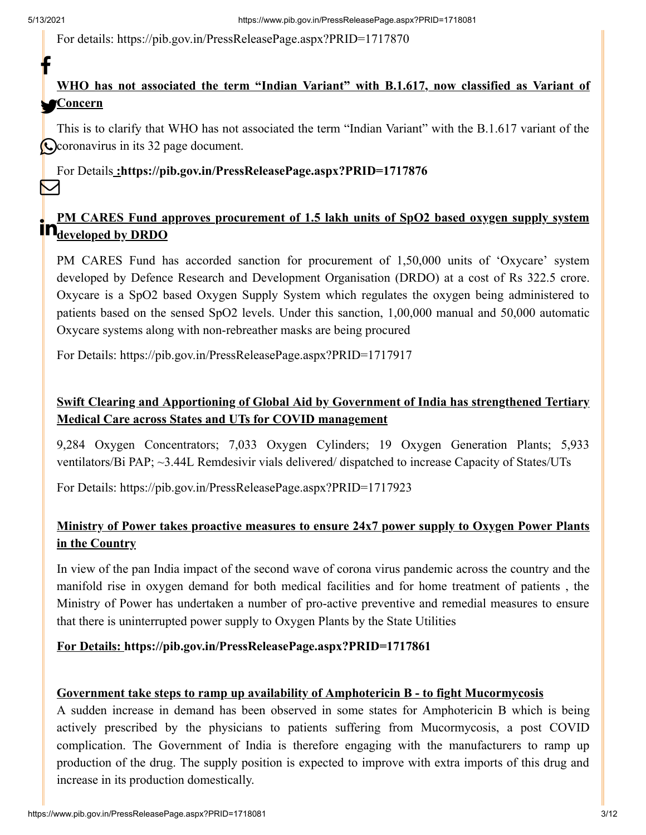For details:<https://pib.gov.in/PressReleasePage.aspx?PRID=1717870>

## **WHO has not associated the term "Indian Variant" with B.1.617, now classified as Variant of Concern**

This is to clarify that WHO has not associated the term "Indian Variant" with the B.1.617 variant of the Coronavirus in its 32 page document.

For Details **[:https://pib.gov.in/PressReleasePage.aspx?PRID=1717876](https://pib.gov.in/PressReleasePage.aspx?PRID=1717876)** M

#### **PM CARES Fund approves procurement of 1.5 lakh units of SpO2 based oxygen supply system in CARES** Fully approximately

PM CARES Fund has accorded sanction for procurement of 1,50,000 units of 'Oxycare' system developed by Defence Research and Development Organisation (DRDO) at a cost of Rs 322.5 crore. Oxycare is a SpO2 based Oxygen Supply System which regulates the oxygen being administered to patients based on the sensed SpO2 levels. Under this sanction, 1,00,000 manual and 50,000 automatic Oxycare systems along with non-rebreather masks are being procured

For Details: <https://pib.gov.in/PressReleasePage.aspx?PRID=1717917>

## **Swift Clearing and Apportioning of Global Aid by Government of India has strengthened Tertiary Medical Care across States and UTs for COVID management**

9,284 Oxygen Concentrators; 7,033 Oxygen Cylinders; 19 Oxygen Generation Plants; 5,933 ventilators/Bi PAP; ~3.44L Remdesivir vials delivered/ dispatched to increase Capacity of States/UTs

For Details: <https://pib.gov.in/PressReleasePage.aspx?PRID=1717923>

### **Ministry of Power takes proactive measures to ensure 24x7 power supply to Oxygen Power Plants in the Country**

In view of the pan India impact of the second wave of corona virus pandemic across the country and the manifold rise in oxygen demand for both medical facilities and for home treatment of patients , the Ministry of Power has undertaken a number of pro-active preventive and remedial measures to ensure that there is uninterrupted power supply to Oxygen Plants by the State Utilities

#### **For Details: <https://pib.gov.in/PressReleasePage.aspx?PRID=1717861>**

#### **Government take steps to ramp up availability of Amphotericin B - to fight Mucormycosis**

A sudden increase in demand has been observed in some states for Amphotericin B which is being actively prescribed by the physicians to patients suffering from Mucormycosis, a post COVID complication. The Government of India is therefore engaging with the manufacturers to ramp up production of the drug. The supply position is expected to improve with extra imports of this drug and increase in its production domestically.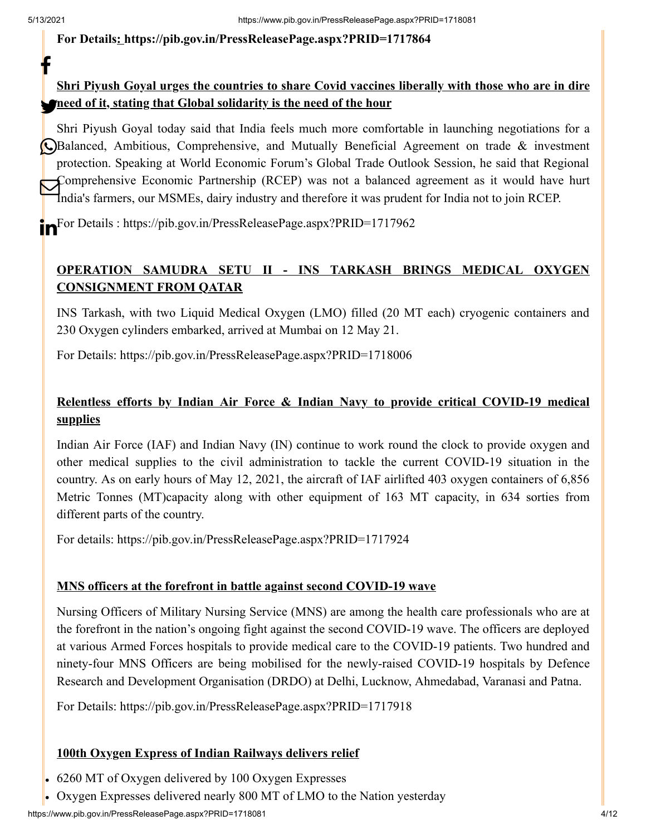t

#### **For Details: <https://pib.gov.in/PressReleasePage.aspx?PRID=1717864>**

## **Shri Piyush Goyal urges the countries to share Covid vaccines liberally with those who are in dire need of it, stating that Global solidarity is the need of the hour**

Shri Piyush Goyal today said that India feels much more comfortable in launching negotiations for a Balanced, Ambitious, Comprehensive, and Mutually Beneficial Agreement on trade & investment protection. Speaking at World Economic Forum's Global Trade Outlook Session, he said that Regional Comprehensive Economic Partnership (RCEP) was not a balanced agreement as it would have hurt India's farmers, our MSMEs, dairy industry and therefore it was prudent for India not to join RCEP.

**For Details : <https://pib.gov.in/PressReleasePage.aspx?PRID=1717962>** 

#### **OPERATION SAMUDRA SETU II - INS TARKASH BRINGS MEDICAL OXYGEN CONSIGNMENT FROM QATAR**

INS Tarkash, with two Liquid Medical Oxygen (LMO) filled (20 MT each) cryogenic containers and 230 Oxygen cylinders embarked, arrived at Mumbai on 12 May 21.

For Details: <https://pib.gov.in/PressReleasePage.aspx?PRID=1718006>

### **Relentless efforts by Indian Air Force & Indian Navy to provide critical COVID-19 medical supplies**

Indian Air Force (IAF) and Indian Navy (IN) continue to work round the clock to provide oxygen and other medical supplies to the civil administration to tackle the current COVID-19 situation in the country. As on early hours of May 12, 2021, the aircraft of IAF airlifted 403 oxygen containers of 6,856 Metric Tonnes (MT)capacity along with other equipment of 163 MT capacity, in 634 sorties from different parts of the country.

For details:<https://pib.gov.in/PressReleasePage.aspx?PRID=1717924>

#### **MNS officers at the forefront in battle against second COVID-19 wave**

Nursing Officers of Military Nursing Service (MNS) are among the health care professionals who are at the forefront in the nation's ongoing fight against the second COVID-19 wave. The officers are deployed at various Armed Forces hospitals to provide medical care to the COVID-19 patients. Two hundred and ninety-four MNS Officers are being mobilised for the newly-raised COVID-19 hospitals by Defence Research and Development Organisation (DRDO) at Delhi, Lucknow, Ahmedabad, Varanasi and Patna.

For Details: <https://pib.gov.in/PressReleasePage.aspx?PRID=1717918>

#### **100th Oxygen Express of Indian Railways delivers relief**

- 6260 MT of Oxygen delivered by 100 Oxygen Expresses
- Oxygen Expresses delivered nearly 800 MT of LMO to the Nation yesterday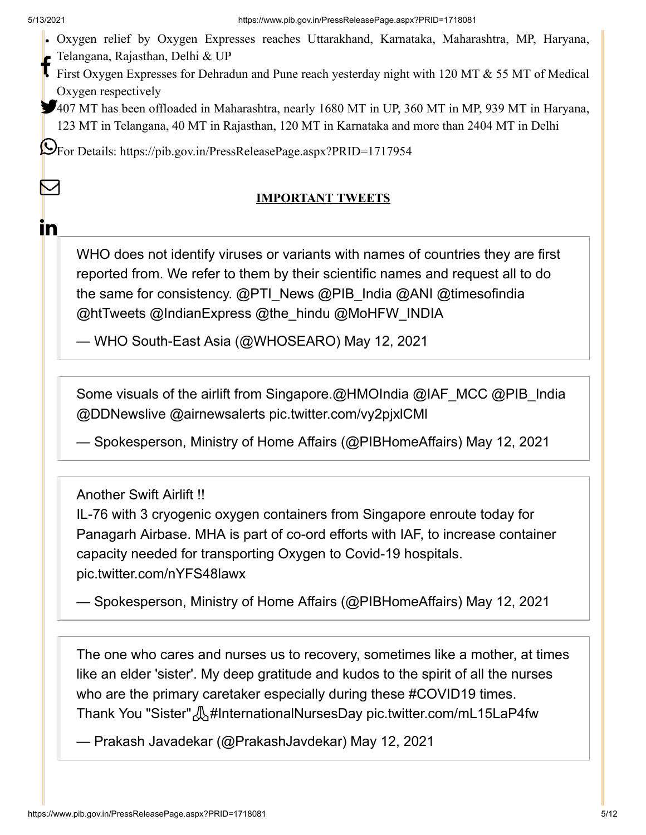M

<u>in</u>

- Oxygen relief by Oxygen Expresses reaches Uttarakhand, Karnataka, Maharashtra, MP, Haryana,
- Telangana, Rajasthan, Delhi & UP
- First Oxygen Expresses for Dehradun and Pune reach yesterday night with 120 MT & 55 MT of Medical Oxygen respectively
- 407 MT has been offloaded in Maharashtra, nearly 1680 MT in UP, 360 MT in MP, 939 MT in Haryana, 123 MT in Telangana, 40 MT in Rajasthan, 120 MT in Karnataka and more than 2404 MT in Delhi

For Details: <https://pib.gov.in/PressReleasePage.aspx?PRID=1717954>

#### **IMPORTANT TWEETS**

WHO does not identify viruses or variants with names of countries they are first reported from. We refer to them by their scientific names and request all to do the same for consistency. [@PTI\\_News](https://twitter.com/PTI_News?ref_src=twsrc%5Etfw) [@PIB\\_India](https://twitter.com/PIB_India?ref_src=twsrc%5Etfw) [@ANI](https://twitter.com/ANI?ref_src=twsrc%5Etfw) [@timesofindia](https://twitter.com/timesofindia?ref_src=twsrc%5Etfw) [@htTweets](https://twitter.com/htTweets?ref_src=twsrc%5Etfw) [@IndianExpress](https://twitter.com/IndianExpress?ref_src=twsrc%5Etfw) [@the\\_hindu](https://twitter.com/the_hindu?ref_src=twsrc%5Etfw) [@MoHFW\\_INDIA](https://twitter.com/MoHFW_INDIA?ref_src=twsrc%5Etfw)

— WHO South-East Asia (@WHOSEARO) [May 12, 2021](https://twitter.com/WHOSEARO/status/1392396456774955014?ref_src=twsrc%5Etfw)

Some visuals of the airlift from Singapore.[@HMOIndia](https://twitter.com/HMOIndia?ref_src=twsrc%5Etfw) [@IAF\\_MCC](https://twitter.com/IAF_MCC?ref_src=twsrc%5Etfw) [@PIB\\_India](https://twitter.com/PIB_India?ref_src=twsrc%5Etfw) [@DDNewslive](https://twitter.com/DDNewslive?ref_src=twsrc%5Etfw) [@airnewsalerts](https://twitter.com/airnewsalerts?ref_src=twsrc%5Etfw) [pic.twitter.com/vy2pjxlCMl](https://t.co/vy2pjxlCMl)

— Spokesperson, Ministry of Home Affairs (@PIBHomeAffairs) [May 12, 2021](https://twitter.com/PIBHomeAffairs/status/1392462347009093638?ref_src=twsrc%5Etfw)

Another Swift Airlift !!

IL-76 with 3 cryogenic oxygen containers from Singapore enroute today for Panagarh Airbase. MHA is part of co-ord efforts with IAF, to increase container capacity needed for transporting Oxygen to Covid-19 hospitals. [pic.twitter.com/nYFS48lawx](https://t.co/nYFS48lawx)

— Spokesperson, Ministry of Home Affairs (@PIBHomeAffairs) [May 12, 2021](https://twitter.com/PIBHomeAffairs/status/1392461116559691777?ref_src=twsrc%5Etfw)

The one who cares and nurses us to recovery, sometimes like a mother, at times like an elder 'sister'. My deep gratitude and kudos to the spirit of all the nurses who are the primary caretaker especially during these [#COVID19](https://twitter.com/hashtag/COVID19?src=hash&ref_src=twsrc%5Etfw) times. Thank You "Sister"  $\mathcal{N}$ [#InternationalNursesDay](https://twitter.com/hashtag/InternationalNursesDay?src=hash&ref_src=twsrc%5Etfw) [pic.twitter.com/mL15LaP4fw](https://t.co/mL15LaP4fw)

— Prakash Javadekar (@PrakashJavdekar) [May 12, 2021](https://twitter.com/PrakashJavdekar/status/1392384030763458562?ref_src=twsrc%5Etfw)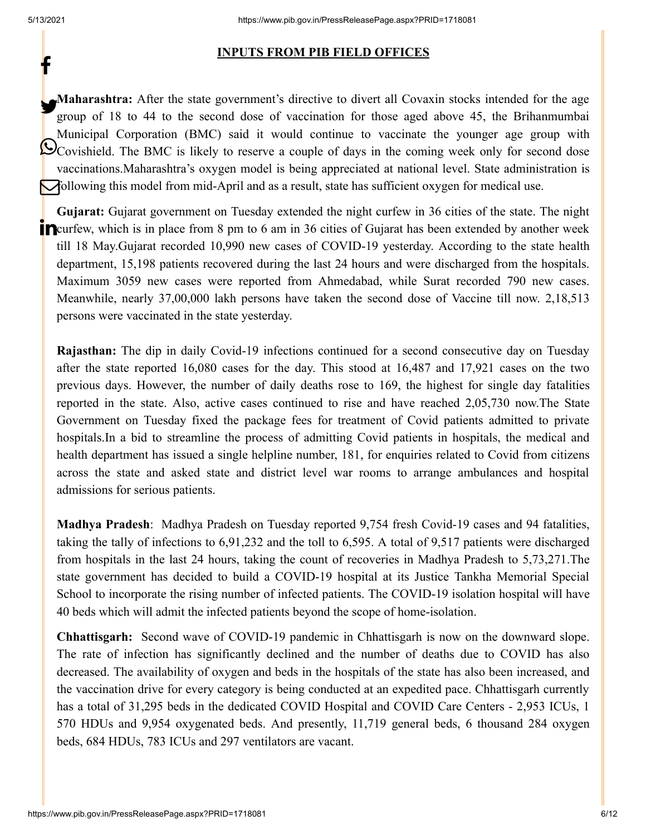#### **INPUTS FROM PIB FIELD OFFICES**

**Maharashtra:** After the state government's directive to divert all Covaxin stocks intended for the age group of 18 to 44 to the second dose of vaccination for those aged above 45, the Brihanmumbai Municipal Corporation (BMC) said it would continue to vaccinate the younger age group with Covishield. The BMC is likely to reserve a couple of days in the coming week only for second dose vaccinations.Maharashtra's oxygen model is being appreciated at national level. State administration is following this model from mid-April and as a result, state has sufficient oxygen for medical use.

**Gujarat:** Gujarat government on Tuesday extended the night curfew in 36 cities of the state. The night **P**curfew, which is in place from 8 pm to 6 am in 36 cities of Gujarat has been extended by another week till 18 May.Gujarat recorded 10,990 new cases of COVID-19 yesterday. According to the state health department, 15,198 patients recovered during the last 24 hours and were discharged from the hospitals. Maximum 3059 new cases were reported from Ahmedabad, while Surat recorded 790 new cases. Meanwhile, nearly 37,00,000 lakh persons have taken the second dose of Vaccine till now. 2,18,513 persons were vaccinated in the state yesterday.

**Rajasthan:** The dip in daily Covid-19 infections continued for a second consecutive day on Tuesday after the state reported 16,080 cases for the day. This stood at 16,487 and 17,921 cases on the two previous days. However, the number of daily deaths rose to 169, the highest for single day fatalities reported in the state. Also, active cases continued to rise and have reached 2,05,730 now.The State Government on Tuesday fixed the package fees for treatment of Covid patients admitted to private hospitals.In a bid to streamline the process of admitting Covid patients in hospitals, the medical and health department has issued a single helpline number, 181, for enquiries related to Covid from citizens across the state and asked state and district level war rooms to arrange ambulances and hospital admissions for serious patients.

**Madhya Pradesh**: Madhya Pradesh on Tuesday reported 9,754 fresh Covid-19 cases and 94 fatalities, taking the tally of infections to 6,91,232 and the toll to 6,595. A total of 9,517 patients were discharged from hospitals in the last 24 hours, taking the count of recoveries in Madhya Pradesh to 5,73,271.The state government has decided to build a COVID-19 hospital at its Justice Tankha Memorial Special School to incorporate the rising number of infected patients. The COVID-19 isolation hospital will have 40 beds which will admit the infected patients beyond the scope of home-isolation.

**Chhattisgarh:** Second wave of COVID-19 pandemic in Chhattisgarh is now on the downward slope. The rate of infection has significantly declined and the number of deaths due to COVID has also decreased. The availability of oxygen and beds in the hospitals of the state has also been increased, and the vaccination drive for every category is being conducted at an expedited pace. Chhattisgarh currently has a total of 31,295 beds in the dedicated COVID Hospital and COVID Care Centers - 2,953 ICUs, 1 570 HDUs and 9,954 oxygenated beds. And presently, 11,719 general beds, 6 thousand 284 oxygen beds, 684 HDUs, 783 ICUs and 297 ventilators are vacant.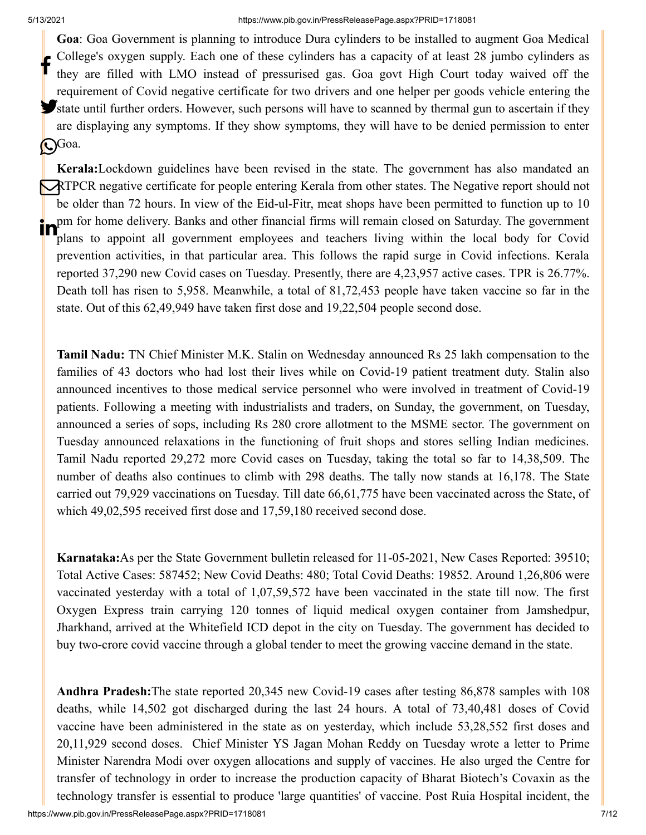**Goa**: Goa Government is planning to introduce Dura cylinders to be installed to augment Goa Medical College's oxygen supply. Each one of these cylinders has a capacity of at least 28 jumbo cylinders as they are filled with LMO instead of pressurised gas. Goa govt High Court today waived off the requirement of Covid negative certificate for two drivers and one helper per goods vehicle entering the State until further orders. However, such persons will have to scanned by thermal gun to ascertain if they are displaying any symptoms. If they show symptoms, they will have to be denied permission to enter Goa. f

**Kerala:**Lockdown guidelines have been revised in the state. The government has also mandated an **RTPCR** negative certificate for people entering Kerala from other states. The Negative report should not be older than 72 hours. In view of the Eid-ul-Fitr, meat shops have been permitted to function up to 10 pm for home delivery. Banks and other financial firms will remain closed on Saturday. The government plans to appoint all government employees and teachers living within the local body for Covid prevention activities, in that particular area. This follows the rapid surge in Covid infections. Kerala reported 37,290 new Covid cases on Tuesday. Presently, there are 4,23,957 active cases. TPR is 26.77%. Death toll has risen to 5,958. Meanwhile, a total of 81,72,453 people have taken vaccine so far in the state. Out of this 62,49,949 have taken first dose and 19,22,504 people second dose.

**Tamil Nadu:** TN Chief Minister M.K. Stalin on Wednesday announced Rs 25 lakh compensation to the families of 43 doctors who had lost their lives while on Covid-19 patient treatment duty. Stalin also announced incentives to those medical service personnel who were involved in treatment of Covid-19 patients. Following a meeting with industrialists and traders, on Sunday, the government, on Tuesday, announced a series of sops, including Rs 280 crore allotment to the MSME sector. The government on Tuesday announced relaxations in the functioning of fruit shops and stores selling Indian medicines. Tamil Nadu reported 29,272 more Covid cases on Tuesday, taking the total so far to 14,38,509. The number of deaths also continues to climb with 298 deaths. The tally now stands at 16,178. The State carried out 79,929 vaccinations on Tuesday. Till date 66,61,775 have been vaccinated across the State, of which 49,02,595 received first dose and 17,59,180 received second dose.

**Karnataka:**As per the State Government bulletin released for 11-05-2021, New Cases Reported: 39510; Total Active Cases: 587452; New Covid Deaths: 480; Total Covid Deaths: 19852. Around 1,26,806 were vaccinated yesterday with a total of 1,07,59,572 have been vaccinated in the state till now. The first Oxygen Express train carrying 120 tonnes of liquid medical oxygen container from Jamshedpur, Jharkhand, arrived at the Whitefield ICD depot in the city on Tuesday. The government has decided to buy two-crore covid vaccine through a global tender to meet the growing vaccine demand in the state.

**Andhra Pradesh:**The state reported 20,345 new Covid-19 cases after testing 86,878 samples with 108 deaths, while 14,502 got discharged during the last 24 hours. A total of 73,40,481 doses of Covid vaccine have been administered in the state as on yesterday, which include 53,28,552 first doses and 20,11,929 second doses. Chief Minister YS Jagan Mohan Reddy on Tuesday wrote a letter to Prime Minister Narendra Modi over oxygen allocations and supply of vaccines. He also urged the Centre for transfer of technology in order to increase the production capacity of Bharat Biotech's Covaxin as the technology transfer is essential to produce 'large quantities' of vaccine. Post Ruia Hospital incident, the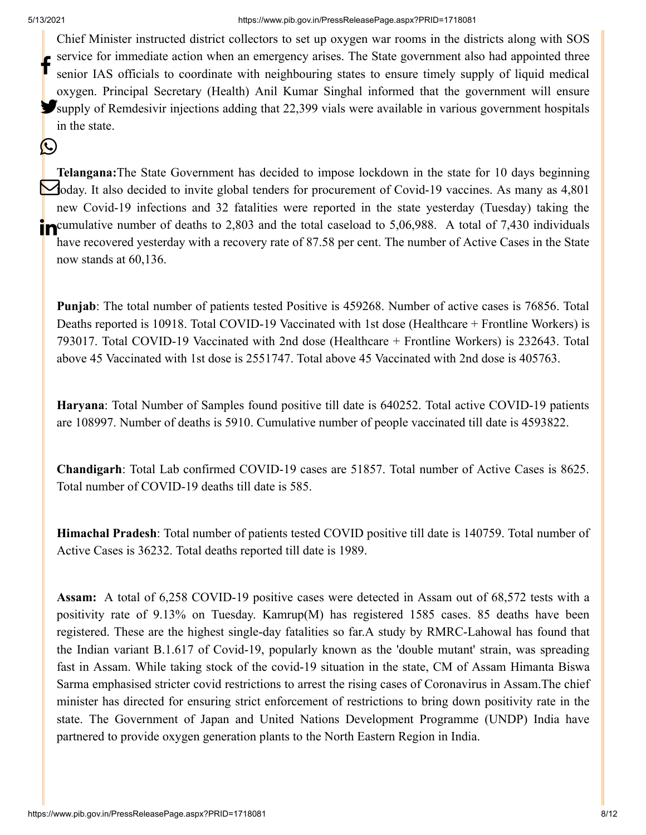$(\cup)$ 

Chief Minister instructed district collectors to set up oxygen war rooms in the districts along with SOS service for immediate action when an emergency arises. The State government also had appointed three senior IAS officials to coordinate with neighbouring states to ensure timely supply of liquid medical oxygen. Principal Secretary (Health) Anil Kumar Singhal informed that the government will ensure Supply of Remdesivir injections adding that 22,399 vials were available in various government hospitals in the state. f

**Telangana:**The State Government has decided to impose lockdown in the state for 10 days beginning  $\bigotimes$  oday. It also decided to invite global tenders for procurement of Covid-19 vaccines. As many as 4,801 new Covid-19 infections and 32 fatalities were reported in the state yesterday (Tuesday) taking the **in** cumulative number of deaths to 2,803 and the total caseload to 5,06,988. A total of 7,430 individuals have recovered yesterday with a recovery rate of 87.58 per cent. The number of Active Cases in the State now stands at 60,136.

**Punjab**: The total number of patients tested Positive is 459268. Number of active cases is 76856. Total Deaths reported is 10918. Total COVID-19 Vaccinated with 1st dose (Healthcare + Frontline Workers) is 793017. Total COVID-19 Vaccinated with 2nd dose (Healthcare + Frontline Workers) is 232643. Total above 45 Vaccinated with 1st dose is 2551747. Total above 45 Vaccinated with 2nd dose is 405763.

**Haryana**: Total Number of Samples found positive till date is 640252. Total active COVID-19 patients are 108997. Number of deaths is 5910. Cumulative number of people vaccinated till date is 4593822.

**Chandigarh**: Total Lab confirmed COVID-19 cases are 51857. Total number of Active Cases is 8625. Total number of COVID-19 deaths till date is 585.

**Himachal Pradesh**: Total number of patients tested COVID positive till date is 140759. Total number of Active Cases is 36232. Total deaths reported till date is 1989.

**Assam:** A total of 6,258 COVID-19 positive cases were detected in Assam out of 68,572 tests with a positivity rate of 9.13% on Tuesday. Kamrup(M) has registered 1585 cases. 85 deaths have been registered. These are the highest single-day fatalities so far.A study by RMRC-Lahowal has found that the Indian variant B.1.617 of Covid-19, popularly known as the 'double mutant' strain, was spreading fast in Assam. While taking stock of the covid-19 situation in the state, CM of Assam Himanta Biswa Sarma emphasised stricter covid restrictions to arrest the rising cases of Coronavirus in Assam.The chief minister has directed for ensuring strict enforcement of restrictions to bring down positivity rate in the state. The Government of Japan and United Nations Development Programme (UNDP) India have partnered to provide oxygen generation plants to the North Eastern Region in India.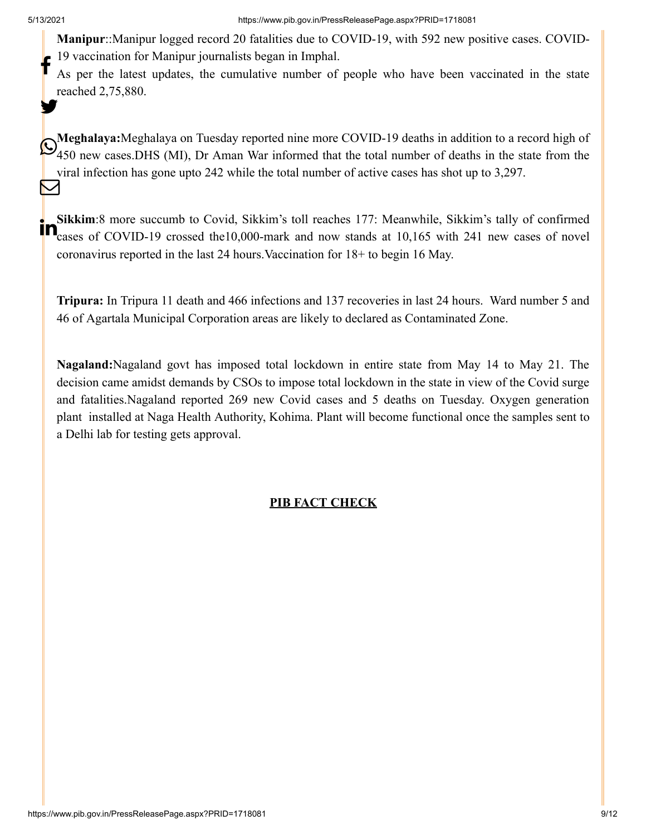**Manipur**::Manipur logged record 20 fatalities due to COVID-19, with 592 new positive cases. COVID-19 vaccination for Manipur journalists began in Imphal.

As per the latest updates, the cumulative number of people who have been vaccinated in the state reached 2,75,880. f y.

**Meghalaya:**Meghalaya on Tuesday reported nine more COVID-19 deaths in addition to a record high of Alle provides a record means of the state of the state from the more COVID-19 deaths in addition to a record mgn of 450 new cases. DHS (MI), Dr Aman War informed that the total number of deaths in the state from the viral infection has gone upto 242 while the total number of active cases has shot up to 3,297. M

**Sikkim**:8 more succumb to Covid, Sikkim's toll reaches 177: Meanwhile, Sikkim's tally of confirmed **COVID-19** crossed the 10,000-mark and now stands at 10,165 with 241 new cases of novel coronavirus reported in the last 24 hours.Vaccination for 18+ to begin 16 May.

**Tripura:** In Tripura 11 death and 466 infections and 137 recoveries in last 24 hours. Ward number 5 and 46 of Agartala Municipal Corporation areas are likely to declared as Contaminated Zone.

**Nagaland:**Nagaland govt has imposed total lockdown in entire state from May 14 to May 21. The decision came amidst demands by CSOs to impose total lockdown in the state in view of the Covid surge and fatalities.Nagaland reported 269 new Covid cases and 5 deaths on Tuesday. Oxygen generation plant installed at Naga Health Authority, Kohima. Plant will become functional once the samples sent to a Delhi lab for testing gets approval.

#### **PIB FACT CHECK**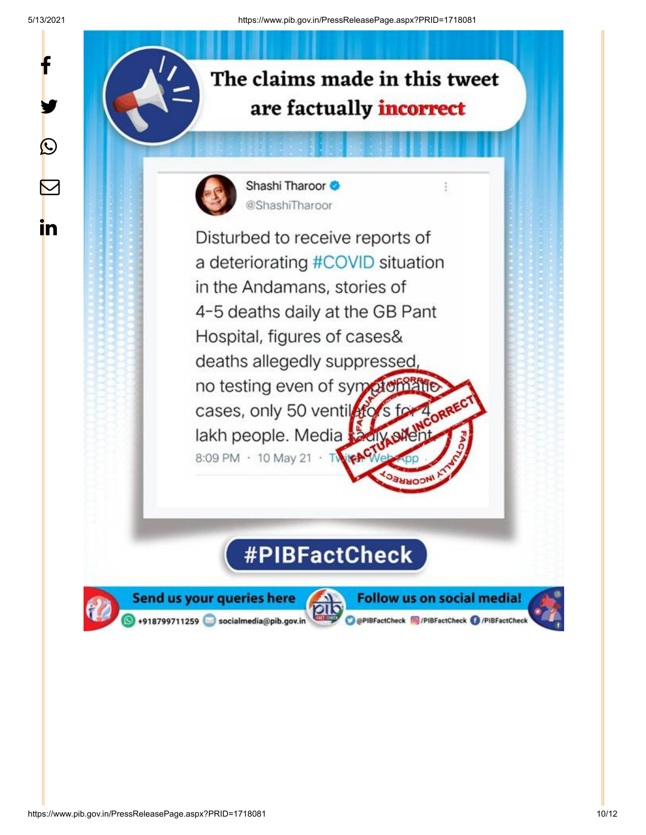y.

 $\circledcirc$ 

 $\color{red} \bm \nabla$ 

in



 $\ddot{z}$ 



Shashi Tharoor @ShashiTharoor

Disturbed to receive reports of a deteriorating #COVID situation in the Andamans, stories of 4-5 deaths daily at the GB Pant Hospital, figures of cases& deaths allegedly suppressed, no testing even of symptomatic cases, only 50 ventiletors for lakh people. Media **CITY SUE** 8:09 PM · 10 May 21 · TWIP

# #PIBFactCheck



Send us your queries here +918799711259 socialmedia@pib.gov.in

**Follow us on social media!** O @PIBFactCheck @/PIBFactCheck @/PIBFactCheck

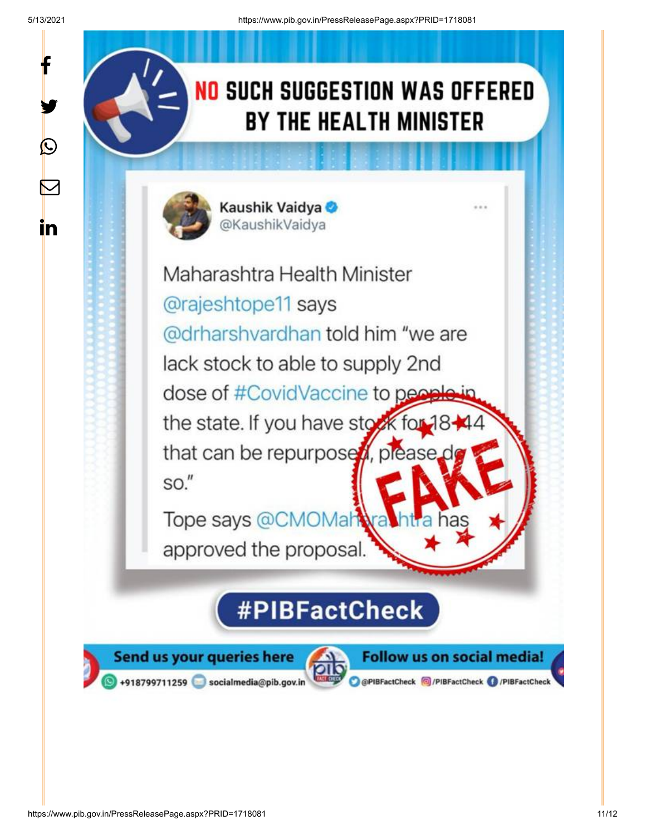y.

 $\bigcirc$ 

 $\color{red} \boxtimes$ 

in

# NO SUCH SUGGESTION WAS OFFERED **BY THE HEALTH MINISTER**



Kaushik Vaidya @KaushikVaidya

Maharashtra Health Minister @rajeshtope11 says @drharshvardhan told him "we are lack stock to able to supply 2nd dose of #CovidVaccine to people the state. If you have stock for that can be repurpose , please.  $SO."$ 

Tope says @CMOMah approved the proposal.

# **#PIBFactCheck**

Send us your queries here +918799711259 socialmedia@pib.gov.in



**Follow us on social media!** @PIBFactCheck @/PIBFactCheck @/PIBFactCheck